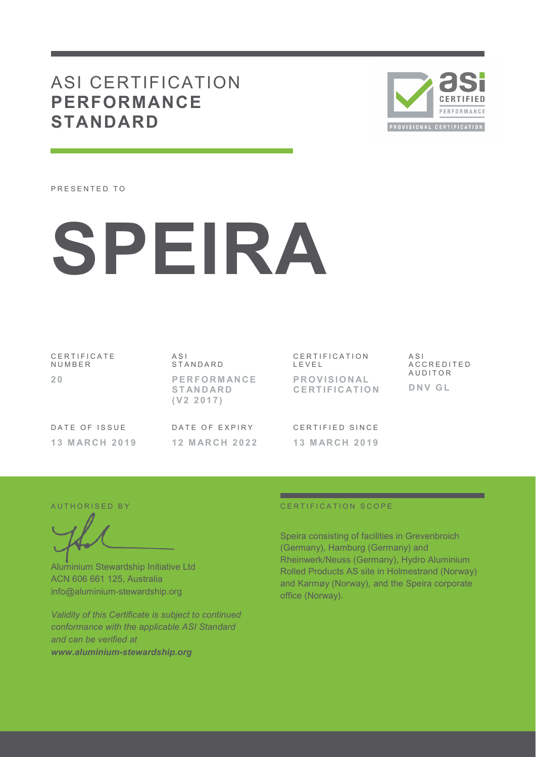## ASI CERTIFICATION **PERFORMANCE STANDARD**



PRESENTED TO



CERTIFICATE **NUMBER 2 0** 

A S I S T A N D A R D **P E R F O R M AN C E S T AN D AR D ( V 2 2 0 1 7 )** 

CERTIFICATION L E V E L **P R O V I S I O N AL C E R T I F I C AT I O N** 

A S I A C C R E D I T E D **AUDITOR D N V G L** 

DATE OF ISSUE **1 3 M AR C H 2 0 1 9**  DATE OF EXPIRY **1 2 M AR C H 2 0 2 2**  CERTIFIED SINCE **1 3 M AR C H 2 0 1 9** 

Aluminium Stewardship Initiative Ltd ACN 606 661 125, Australia info@aluminium-stewardship.org

*Validity of this Certificate is subject to continued conformance with the applicable ASI Standard and can be verified at www.aluminium-stewardship.org*

#### A UT HORISED BY CERTIFICATION SCOPE

Speira consisting of facilities in Grevenbroich (Germany), Hamburg (Germany) and Rheinwerk/Neuss (Germany), Hydro Aluminium Rolled Products AS site in Holmestrand (Norway) and Karmøy (Norway), and the Speira corporate office (Norway).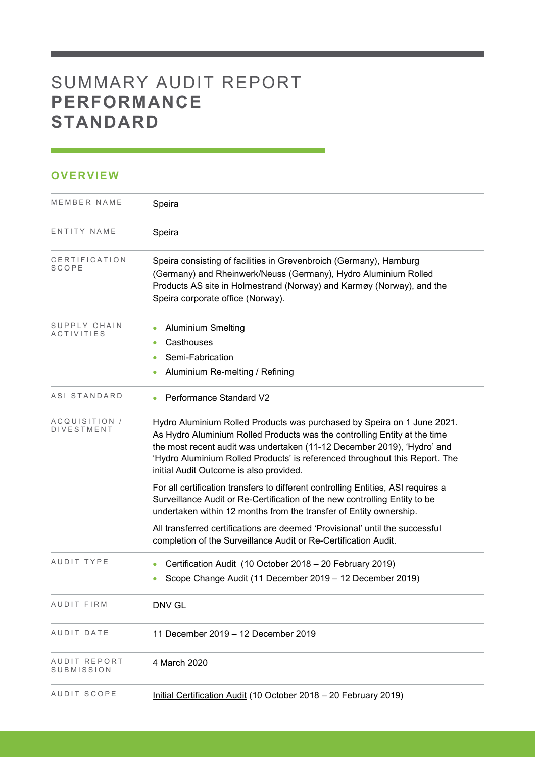# SUMMARY AUDIT REPORT **PERFORMANCE STANDARD**

### **OVERVIEW**

| MEMBER NAME                        | Speira                                                                                                                                                                                                                                                                                                                                                    |
|------------------------------------|-----------------------------------------------------------------------------------------------------------------------------------------------------------------------------------------------------------------------------------------------------------------------------------------------------------------------------------------------------------|
| ENTITY NAME                        | Speira                                                                                                                                                                                                                                                                                                                                                    |
| CERTIFICATION<br>SCOPE             | Speira consisting of facilities in Grevenbroich (Germany), Hamburg<br>(Germany) and Rheinwerk/Neuss (Germany), Hydro Aluminium Rolled<br>Products AS site in Holmestrand (Norway) and Karmøy (Norway), and the<br>Speira corporate office (Norway).                                                                                                       |
| SUPPLY CHAIN<br>ACTIVITIES         | <b>Aluminium Smelting</b><br>$\bullet$<br>Casthouses<br>٠<br>Semi-Fabrication<br>Aluminium Re-melting / Refining                                                                                                                                                                                                                                          |
| ASI STANDARD                       | <b>Performance Standard V2</b>                                                                                                                                                                                                                                                                                                                            |
| ACQUISITION /<br><b>DIVESTMENT</b> | Hydro Aluminium Rolled Products was purchased by Speira on 1 June 2021.<br>As Hydro Aluminium Rolled Products was the controlling Entity at the time<br>the most recent audit was undertaken (11-12 December 2019), 'Hydro' and<br>'Hydro Aluminium Rolled Products' is referenced throughout this Report. The<br>initial Audit Outcome is also provided. |
|                                    | For all certification transfers to different controlling Entities, ASI requires a<br>Surveillance Audit or Re-Certification of the new controlling Entity to be<br>undertaken within 12 months from the transfer of Entity ownership.                                                                                                                     |
|                                    | All transferred certifications are deemed 'Provisional' until the successful<br>completion of the Surveillance Audit or Re-Certification Audit.                                                                                                                                                                                                           |
| AUDIT TYPE                         | Certification Audit (10 October 2018 – 20 February 2019)<br>Scope Change Audit (11 December 2019 - 12 December 2019)                                                                                                                                                                                                                                      |
| AUDIT FIRM                         | DNV GL                                                                                                                                                                                                                                                                                                                                                    |
| AUDIT DATE                         | 11 December 2019 - 12 December 2019                                                                                                                                                                                                                                                                                                                       |
| AUDIT REPORT<br>SUBMISSION         | 4 March 2020                                                                                                                                                                                                                                                                                                                                              |
| AUDIT SCOPE                        | Initial Certification Audit (10 October 2018 - 20 February 2019)                                                                                                                                                                                                                                                                                          |

and the control of the control of the control of the control of the control of the control of the control of the control of the control of the control of the control of the control of the control of the control of the cont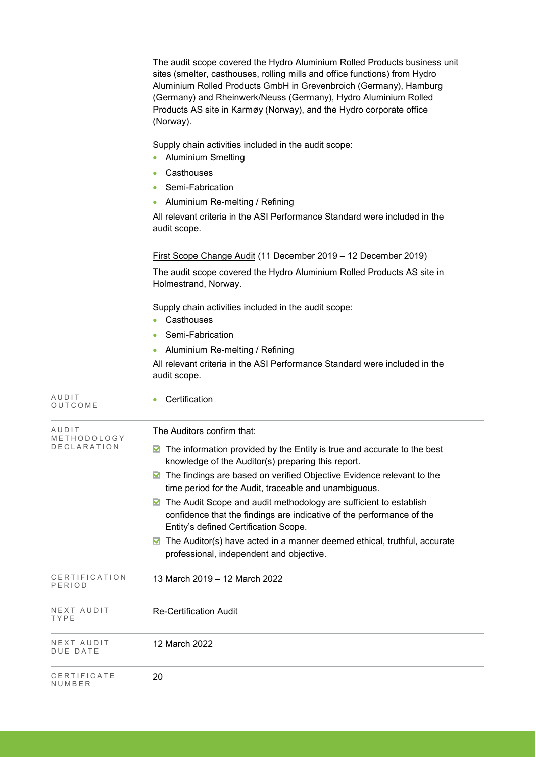|                         | The audit scope covered the Hydro Aluminium Rolled Products business unit<br>sites (smelter, casthouses, rolling mills and office functions) from Hydro<br>Aluminium Rolled Products GmbH in Grevenbroich (Germany), Hamburg<br>(Germany) and Rheinwerk/Neuss (Germany), Hydro Aluminium Rolled<br>Products AS site in Karmøy (Norway), and the Hydro corporate office<br>(Norway). |  |  |  |  |
|-------------------------|-------------------------------------------------------------------------------------------------------------------------------------------------------------------------------------------------------------------------------------------------------------------------------------------------------------------------------------------------------------------------------------|--|--|--|--|
|                         | Supply chain activities included in the audit scope:<br><b>Aluminium Smelting</b>                                                                                                                                                                                                                                                                                                   |  |  |  |  |
|                         | Casthouses<br>۰                                                                                                                                                                                                                                                                                                                                                                     |  |  |  |  |
|                         | Semi-Fabrication                                                                                                                                                                                                                                                                                                                                                                    |  |  |  |  |
|                         | Aluminium Re-melting / Refining                                                                                                                                                                                                                                                                                                                                                     |  |  |  |  |
|                         | All relevant criteria in the ASI Performance Standard were included in the<br>audit scope.                                                                                                                                                                                                                                                                                          |  |  |  |  |
|                         | First Scope Change Audit (11 December 2019 - 12 December 2019)                                                                                                                                                                                                                                                                                                                      |  |  |  |  |
|                         | The audit scope covered the Hydro Aluminium Rolled Products AS site in<br>Holmestrand, Norway.                                                                                                                                                                                                                                                                                      |  |  |  |  |
|                         | Supply chain activities included in the audit scope:<br>Casthouses                                                                                                                                                                                                                                                                                                                  |  |  |  |  |
|                         | Semi-Fabrication                                                                                                                                                                                                                                                                                                                                                                    |  |  |  |  |
|                         | Aluminium Re-melting / Refining                                                                                                                                                                                                                                                                                                                                                     |  |  |  |  |
|                         | All relevant criteria in the ASI Performance Standard were included in the<br>audit scope.                                                                                                                                                                                                                                                                                          |  |  |  |  |
| AUDIT<br>OUTCOME        | Certification<br>$\bullet$                                                                                                                                                                                                                                                                                                                                                          |  |  |  |  |
| AUDIT<br>METHODOLOGY    | The Auditors confirm that:                                                                                                                                                                                                                                                                                                                                                          |  |  |  |  |
| DECLARATION             | The information provided by the Entity is true and accurate to the best<br>M<br>knowledge of the Auditor(s) preparing this report.                                                                                                                                                                                                                                                  |  |  |  |  |
|                         | The findings are based on verified Objective Evidence relevant to the<br>M<br>time period for the Audit, traceable and unambiguous.                                                                                                                                                                                                                                                 |  |  |  |  |
|                         | The Audit Scope and audit methodology are sufficient to establish<br>M<br>confidence that the findings are indicative of the performance of the<br>Entity's defined Certification Scope.                                                                                                                                                                                            |  |  |  |  |
|                         | The Auditor(s) have acted in a manner deemed ethical, truthful, accurate<br>M<br>professional, independent and objective.                                                                                                                                                                                                                                                           |  |  |  |  |
| CERTIFICATION<br>PERIOD | 13 March 2019 - 12 March 2022                                                                                                                                                                                                                                                                                                                                                       |  |  |  |  |
| NEXT AUDIT<br>TYPE      | <b>Re-Certification Audit</b>                                                                                                                                                                                                                                                                                                                                                       |  |  |  |  |
| NEXT AUDIT<br>DUE DATE  | 12 March 2022                                                                                                                                                                                                                                                                                                                                                                       |  |  |  |  |
| CERTIFICATE<br>NUMBER   | 20                                                                                                                                                                                                                                                                                                                                                                                  |  |  |  |  |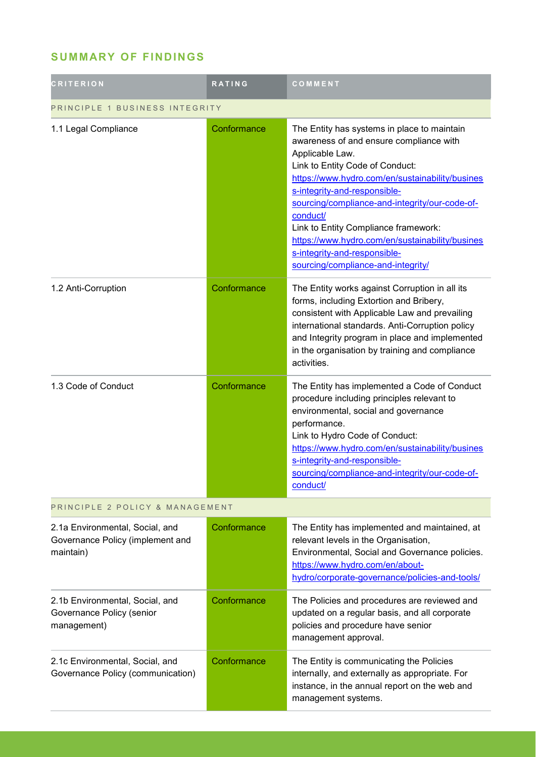## **SUMMARY OF FINDINGS**

| <b>CRITERION</b>                                                                 | <b>RATING</b> | COMMENT                                                                                                                                                                                                                                                                                                                                                                                                                                                        |  |
|----------------------------------------------------------------------------------|---------------|----------------------------------------------------------------------------------------------------------------------------------------------------------------------------------------------------------------------------------------------------------------------------------------------------------------------------------------------------------------------------------------------------------------------------------------------------------------|--|
| PRINCIPLE 1 BUSINESS INTEGRITY                                                   |               |                                                                                                                                                                                                                                                                                                                                                                                                                                                                |  |
| 1.1 Legal Compliance                                                             | Conformance   | The Entity has systems in place to maintain<br>awareness of and ensure compliance with<br>Applicable Law.<br>Link to Entity Code of Conduct:<br>https://www.hydro.com/en/sustainability/busines<br>s-integrity-and-responsible-<br>sourcing/compliance-and-integrity/our-code-of-<br>conduct/<br>Link to Entity Compliance framework:<br>https://www.hydro.com/en/sustainability/busines<br>s-integrity-and-responsible-<br>sourcing/compliance-and-integrity/ |  |
| 1.2 Anti-Corruption                                                              | Conformance   | The Entity works against Corruption in all its<br>forms, including Extortion and Bribery,<br>consistent with Applicable Law and prevailing<br>international standards. Anti-Corruption policy<br>and Integrity program in place and implemented<br>in the organisation by training and compliance<br>activities.                                                                                                                                               |  |
| 1.3 Code of Conduct                                                              | Conformance   | The Entity has implemented a Code of Conduct<br>procedure including principles relevant to<br>environmental, social and governance<br>performance.<br>Link to Hydro Code of Conduct:<br>https://www.hydro.com/en/sustainability/busines<br>s-integrity-and-responsible-<br>sourcing/compliance-and-integrity/our-code-of-<br>conduct/                                                                                                                          |  |
| PRINCIPLE 2 POLICY & MANAGEMENT                                                  |               |                                                                                                                                                                                                                                                                                                                                                                                                                                                                |  |
| 2.1a Environmental, Social, and<br>Governance Policy (implement and<br>maintain) | Conformance   | The Entity has implemented and maintained, at<br>relevant levels in the Organisation,<br>Environmental, Social and Governance policies.<br>https://www.hydro.com/en/about-<br>hydro/corporate-governance/policies-and-tools/                                                                                                                                                                                                                                   |  |
| 2.1b Environmental, Social, and<br>Governance Policy (senior<br>management)      | Conformance   | The Policies and procedures are reviewed and<br>updated on a regular basis, and all corporate<br>policies and procedure have senior<br>management approval.                                                                                                                                                                                                                                                                                                    |  |
| 2.1c Environmental, Social, and<br>Governance Policy (communication)             | Conformance   | The Entity is communicating the Policies<br>internally, and externally as appropriate. For<br>instance, in the annual report on the web and<br>management systems.                                                                                                                                                                                                                                                                                             |  |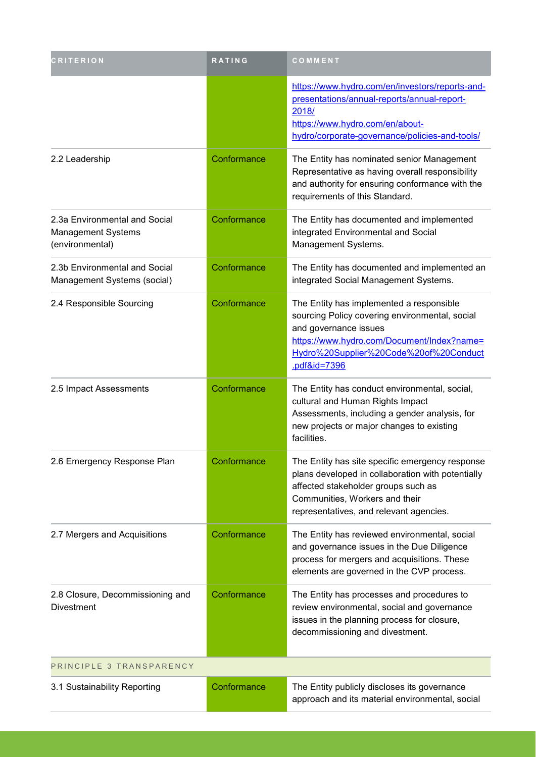| <b>CRITERION</b>                                                              | RATING      | COMMENT                                                                                                                                                                                                                    |
|-------------------------------------------------------------------------------|-------------|----------------------------------------------------------------------------------------------------------------------------------------------------------------------------------------------------------------------------|
|                                                                               |             | https://www.hydro.com/en/investors/reports-and-<br>presentations/annual-reports/annual-report-<br>2018/<br>https://www.hydro.com/en/about-<br>hydro/corporate-governance/policies-and-tools/                               |
| 2.2 Leadership                                                                | Conformance | The Entity has nominated senior Management<br>Representative as having overall responsibility<br>and authority for ensuring conformance with the<br>requirements of this Standard.                                         |
| 2.3a Environmental and Social<br><b>Management Systems</b><br>(environmental) | Conformance | The Entity has documented and implemented<br>integrated Environmental and Social<br>Management Systems.                                                                                                                    |
| 2.3b Environmental and Social<br>Management Systems (social)                  | Conformance | The Entity has documented and implemented an<br>integrated Social Management Systems.                                                                                                                                      |
| 2.4 Responsible Sourcing                                                      | Conformance | The Entity has implemented a responsible<br>sourcing Policy covering environmental, social<br>and governance issues<br>https://www.hydro.com/Document/Index?name=<br>Hydro%20Supplier%20Code%20of%20Conduct<br>pdf&id=7396 |
| 2.5 Impact Assessments                                                        | Conformance | The Entity has conduct environmental, social,<br>cultural and Human Rights Impact<br>Assessments, including a gender analysis, for<br>new projects or major changes to existing<br>facilities.                             |
| 2.6 Emergency Response Plan                                                   | Conformance | The Entity has site specific emergency response<br>plans developed in collaboration with potentially<br>affected stakeholder groups such as<br>Communities, Workers and their<br>representatives, and relevant agencies.   |
| 2.7 Mergers and Acquisitions                                                  | Conformance | The Entity has reviewed environmental, social<br>and governance issues in the Due Diligence<br>process for mergers and acquisitions. These<br>elements are governed in the CVP process.                                    |
| 2.8 Closure, Decommissioning and<br><b>Divestment</b>                         | Conformance | The Entity has processes and procedures to<br>review environmental, social and governance<br>issues in the planning process for closure,<br>decommissioning and divestment.                                                |
| PRINCIPLE 3 TRANSPARENCY                                                      |             |                                                                                                                                                                                                                            |
| 3.1 Sustainability Reporting                                                  | Conformance | The Entity publicly discloses its governance<br>approach and its material environmental, social                                                                                                                            |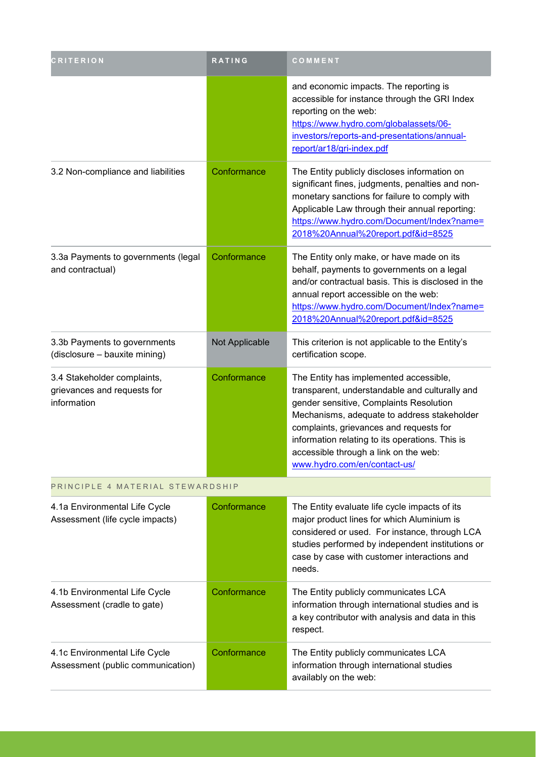| <b>CRITERION</b>                                                          | <b>RATING</b>  | COMMENT                                                                                                                                                                                                                                                                                                                                                   |
|---------------------------------------------------------------------------|----------------|-----------------------------------------------------------------------------------------------------------------------------------------------------------------------------------------------------------------------------------------------------------------------------------------------------------------------------------------------------------|
|                                                                           |                | and economic impacts. The reporting is<br>accessible for instance through the GRI Index<br>reporting on the web:<br>https://www.hydro.com/globalassets/06-<br>investors/reports-and-presentations/annual-<br>report/ar18/gri-index.pdf                                                                                                                    |
| 3.2 Non-compliance and liabilities                                        | Conformance    | The Entity publicly discloses information on<br>significant fines, judgments, penalties and non-<br>monetary sanctions for failure to comply with<br>Applicable Law through their annual reporting:<br>https://www.hydro.com/Document/Index?name=<br>2018%20Annual%20report.pdf&id=8525                                                                   |
| 3.3a Payments to governments (legal<br>and contractual)                   | Conformance    | The Entity only make, or have made on its<br>behalf, payments to governments on a legal<br>and/or contractual basis. This is disclosed in the<br>annual report accessible on the web:<br>https://www.hydro.com/Document/Index?name=<br>2018%20Annual%20report.pdf&id=8525                                                                                 |
| 3.3b Payments to governments<br>(disclosure - bauxite mining)             | Not Applicable | This criterion is not applicable to the Entity's<br>certification scope.                                                                                                                                                                                                                                                                                  |
| 3.4 Stakeholder complaints,<br>grievances and requests for<br>information | Conformance    | The Entity has implemented accessible,<br>transparent, understandable and culturally and<br>gender sensitive, Complaints Resolution<br>Mechanisms, adequate to address stakeholder<br>complaints, grievances and requests for<br>information relating to its operations. This is<br>accessible through a link on the web:<br>www.hydro.com/en/contact-us/ |
| PRINCIPLE 4 MATERIAL STEWARDSHIP                                          |                |                                                                                                                                                                                                                                                                                                                                                           |
| 4.1a Environmental Life Cycle<br>Assessment (life cycle impacts)          | Conformance    | The Entity evaluate life cycle impacts of its<br>major product lines for which Aluminium is<br>considered or used. For instance, through LCA<br>studies performed by independent institutions or<br>case by case with customer interactions and<br>needs.                                                                                                 |
| 4.1b Environmental Life Cycle<br>Assessment (cradle to gate)              | Conformance    | The Entity publicly communicates LCA<br>information through international studies and is<br>a key contributor with analysis and data in this<br>respect.                                                                                                                                                                                                  |
| 4.1c Environmental Life Cycle<br>Assessment (public communication)        | Conformance    | The Entity publicly communicates LCA<br>information through international studies<br>availably on the web:                                                                                                                                                                                                                                                |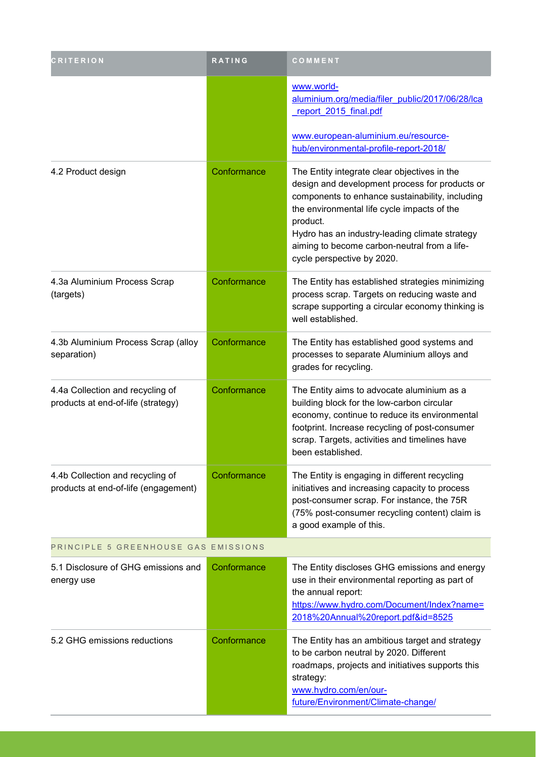| <b>CRITERION</b>                                                         | <b>RATING</b> | COMMENT                                                                                                                                                                                                                                                                                                                                      |  |
|--------------------------------------------------------------------------|---------------|----------------------------------------------------------------------------------------------------------------------------------------------------------------------------------------------------------------------------------------------------------------------------------------------------------------------------------------------|--|
|                                                                          |               | www.world-<br>aluminium.org/media/filer public/2017/06/28/lca<br>report 2015 final.pdf<br>www.european-aluminium.eu/resource-<br>hub/environmental-profile-report-2018/                                                                                                                                                                      |  |
| 4.2 Product design                                                       | Conformance   | The Entity integrate clear objectives in the<br>design and development process for products or<br>components to enhance sustainability, including<br>the environmental life cycle impacts of the<br>product.<br>Hydro has an industry-leading climate strategy<br>aiming to become carbon-neutral from a life-<br>cycle perspective by 2020. |  |
| 4.3a Aluminium Process Scrap<br>(targets)                                | Conformance   | The Entity has established strategies minimizing<br>process scrap. Targets on reducing waste and<br>scrape supporting a circular economy thinking is<br>well established.                                                                                                                                                                    |  |
| 4.3b Aluminium Process Scrap (alloy<br>separation)                       | Conformance   | The Entity has established good systems and<br>processes to separate Aluminium alloys and<br>grades for recycling.                                                                                                                                                                                                                           |  |
| 4.4a Collection and recycling of<br>products at end-of-life (strategy)   | Conformance   | The Entity aims to advocate aluminium as a<br>building block for the low-carbon circular<br>economy, continue to reduce its environmental<br>footprint. Increase recycling of post-consumer<br>scrap. Targets, activities and timelines have<br>been established.                                                                            |  |
| 4.4b Collection and recycling of<br>products at end-of-life (engagement) | Conformance   | The Entity is engaging in different recycling<br>initiatives and increasing capacity to process<br>post-consumer scrap. For instance, the 75R<br>(75% post-consumer recycling content) claim is<br>a good example of this.                                                                                                                   |  |
| PRINCIPLE 5 GREENHOUSE GAS EMISSIONS                                     |               |                                                                                                                                                                                                                                                                                                                                              |  |
| 5.1 Disclosure of GHG emissions and<br>energy use                        | Conformance   | The Entity discloses GHG emissions and energy<br>use in their environmental reporting as part of<br>the annual report:<br>https://www.hydro.com/Document/Index?name=<br>2018%20Annual%20report.pdf&id=8525                                                                                                                                   |  |
| 5.2 GHG emissions reductions                                             | Conformance   | The Entity has an ambitious target and strategy<br>to be carbon neutral by 2020. Different<br>roadmaps, projects and initiatives supports this<br>strategy:<br>www.hydro.com/en/our-<br>future/Environment/Climate-change/                                                                                                                   |  |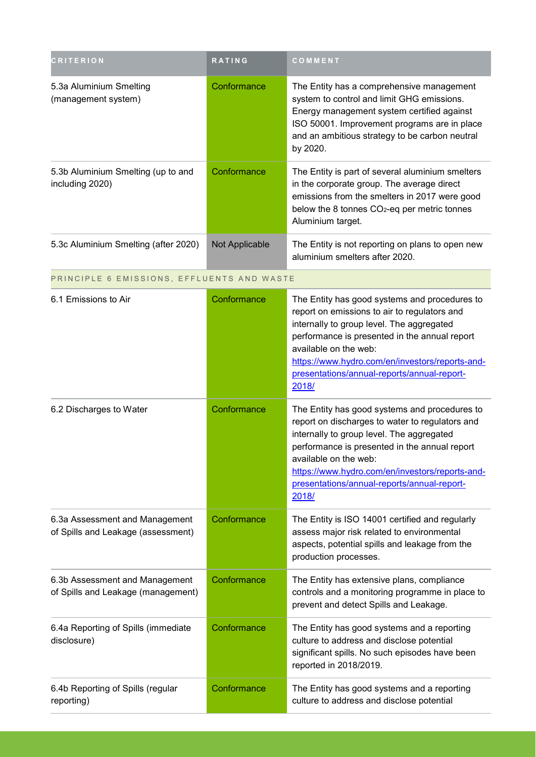| <b>CRITERION</b>                                                     | <b>RATING</b>  | COMMENT                                                                                                                                                                                                                                                                                                                            |
|----------------------------------------------------------------------|----------------|------------------------------------------------------------------------------------------------------------------------------------------------------------------------------------------------------------------------------------------------------------------------------------------------------------------------------------|
| 5.3a Aluminium Smelting<br>(management system)                       | Conformance    | The Entity has a comprehensive management<br>system to control and limit GHG emissions.<br>Energy management system certified against<br>ISO 50001. Improvement programs are in place<br>and an ambitious strategy to be carbon neutral<br>by 2020.                                                                                |
| 5.3b Aluminium Smelting (up to and<br>including 2020)                | Conformance    | The Entity is part of several aluminium smelters<br>in the corporate group. The average direct<br>emissions from the smelters in 2017 were good<br>below the 8 tonnes CO <sub>2</sub> -eq per metric tonnes<br>Aluminium target.                                                                                                   |
| 5.3c Aluminium Smelting (after 2020)                                 | Not Applicable | The Entity is not reporting on plans to open new<br>aluminium smelters after 2020.                                                                                                                                                                                                                                                 |
| PRINCIPLE 6 EMISSIONS, EFFLUENTS AND WASTE                           |                |                                                                                                                                                                                                                                                                                                                                    |
| 6.1 Emissions to Air                                                 | Conformance    | The Entity has good systems and procedures to<br>report on emissions to air to regulators and<br>internally to group level. The aggregated<br>performance is presented in the annual report<br>available on the web:<br>https://www.hydro.com/en/investors/reports-and-<br>presentations/annual-reports/annual-report-<br>2018/    |
| 6.2 Discharges to Water                                              | Conformance    | The Entity has good systems and procedures to<br>report on discharges to water to regulators and<br>internally to group level. The aggregated<br>performance is presented in the annual report<br>available on the web:<br>https://www.hydro.com/en/investors/reports-and-<br>presentations/annual-reports/annual-report-<br>2018/ |
| 6.3a Assessment and Management<br>of Spills and Leakage (assessment) | Conformance    | The Entity is ISO 14001 certified and regularly<br>assess major risk related to environmental<br>aspects, potential spills and leakage from the<br>production processes.                                                                                                                                                           |
| 6.3b Assessment and Management<br>of Spills and Leakage (management) | Conformance    | The Entity has extensive plans, compliance<br>controls and a monitoring programme in place to<br>prevent and detect Spills and Leakage.                                                                                                                                                                                            |
| 6.4a Reporting of Spills (immediate<br>disclosure)                   | Conformance    | The Entity has good systems and a reporting<br>culture to address and disclose potential<br>significant spills. No such episodes have been<br>reported in 2018/2019.                                                                                                                                                               |
| 6.4b Reporting of Spills (regular<br>reporting)                      | Conformance    | The Entity has good systems and a reporting<br>culture to address and disclose potential                                                                                                                                                                                                                                           |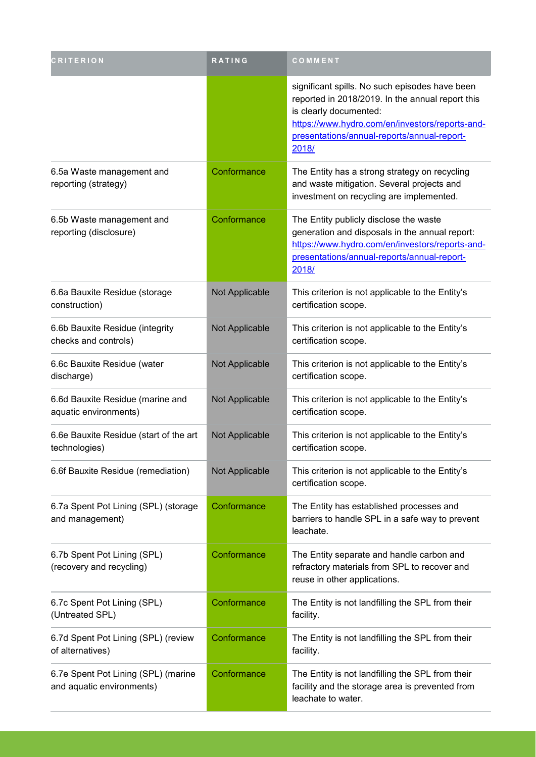| <b>CRITERION</b>                                                 | RATING                | COMMENT                                                                                                                                                                                                                                 |
|------------------------------------------------------------------|-----------------------|-----------------------------------------------------------------------------------------------------------------------------------------------------------------------------------------------------------------------------------------|
|                                                                  |                       | significant spills. No such episodes have been<br>reported in 2018/2019. In the annual report this<br>is clearly documented:<br>https://www.hydro.com/en/investors/reports-and-<br>presentations/annual-reports/annual-report-<br>2018/ |
| 6.5a Waste management and<br>reporting (strategy)                | Conformance           | The Entity has a strong strategy on recycling<br>and waste mitigation. Several projects and<br>investment on recycling are implemented.                                                                                                 |
| 6.5b Waste management and<br>reporting (disclosure)              | Conformance           | The Entity publicly disclose the waste<br>generation and disposals in the annual report:<br>https://www.hydro.com/en/investors/reports-and-<br>presentations/annual-reports/annual-report-<br>2018/                                     |
| 6.6a Bauxite Residue (storage<br>construction)                   | Not Applicable        | This criterion is not applicable to the Entity's<br>certification scope.                                                                                                                                                                |
| 6.6b Bauxite Residue (integrity<br>checks and controls)          | <b>Not Applicable</b> | This criterion is not applicable to the Entity's<br>certification scope.                                                                                                                                                                |
| 6.6c Bauxite Residue (water<br>discharge)                        | Not Applicable        | This criterion is not applicable to the Entity's<br>certification scope.                                                                                                                                                                |
| 6.6d Bauxite Residue (marine and<br>aquatic environments)        | <b>Not Applicable</b> | This criterion is not applicable to the Entity's<br>certification scope.                                                                                                                                                                |
| 6.6e Bauxite Residue (start of the art<br>technologies)          | Not Applicable        | This criterion is not applicable to the Entity's<br>certification scope.                                                                                                                                                                |
| 6.6f Bauxite Residue (remediation)                               | Not Applicable        | This criterion is not applicable to the Entity's<br>certification scope.                                                                                                                                                                |
| 6.7a Spent Pot Lining (SPL) (storage<br>and management)          | Conformance           | The Entity has established processes and<br>barriers to handle SPL in a safe way to prevent<br>leachate.                                                                                                                                |
| 6.7b Spent Pot Lining (SPL)<br>(recovery and recycling)          | Conformance           | The Entity separate and handle carbon and<br>refractory materials from SPL to recover and<br>reuse in other applications.                                                                                                               |
| 6.7c Spent Pot Lining (SPL)<br>(Untreated SPL)                   | Conformance           | The Entity is not landfilling the SPL from their<br>facility.                                                                                                                                                                           |
| 6.7d Spent Pot Lining (SPL) (review<br>of alternatives)          | Conformance           | The Entity is not landfilling the SPL from their<br>facility.                                                                                                                                                                           |
| 6.7e Spent Pot Lining (SPL) (marine<br>and aquatic environments) | Conformance           | The Entity is not landfilling the SPL from their<br>facility and the storage area is prevented from<br>leachate to water.                                                                                                               |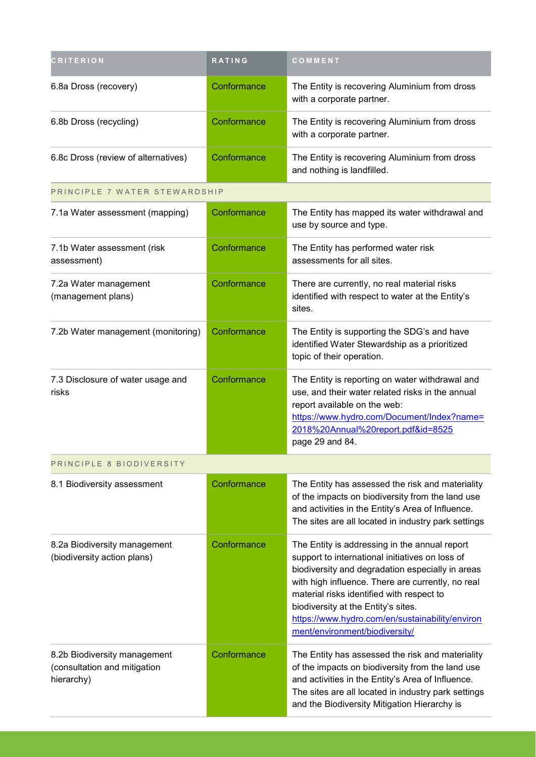| <b>CRITERION</b>                                                           | <b>RATING</b> | COMMENT                                                                                                                                                                                                                                                                                                                                                                            |
|----------------------------------------------------------------------------|---------------|------------------------------------------------------------------------------------------------------------------------------------------------------------------------------------------------------------------------------------------------------------------------------------------------------------------------------------------------------------------------------------|
| 6.8a Dross (recovery)                                                      | Conformance   | The Entity is recovering Aluminium from dross<br>with a corporate partner.                                                                                                                                                                                                                                                                                                         |
| 6.8b Dross (recycling)                                                     | Conformance   | The Entity is recovering Aluminium from dross<br>with a corporate partner.                                                                                                                                                                                                                                                                                                         |
| 6.8c Dross (review of alternatives)                                        | Conformance   | The Entity is recovering Aluminium from dross<br>and nothing is landfilled.                                                                                                                                                                                                                                                                                                        |
| PRINCIPLE 7 WATER STEWARDSHIP                                              |               |                                                                                                                                                                                                                                                                                                                                                                                    |
| 7.1a Water assessment (mapping)                                            | Conformance   | The Entity has mapped its water withdrawal and<br>use by source and type.                                                                                                                                                                                                                                                                                                          |
| 7.1b Water assessment (risk<br>assessment)                                 | Conformance   | The Entity has performed water risk<br>assessments for all sites.                                                                                                                                                                                                                                                                                                                  |
| 7.2a Water management<br>(management plans)                                | Conformance   | There are currently, no real material risks<br>identified with respect to water at the Entity's<br>sites.                                                                                                                                                                                                                                                                          |
| 7.2b Water management (monitoring)                                         | Conformance   | The Entity is supporting the SDG's and have<br>identified Water Stewardship as a prioritized<br>topic of their operation.                                                                                                                                                                                                                                                          |
| 7.3 Disclosure of water usage and<br>risks                                 | Conformance   | The Entity is reporting on water withdrawal and<br>use, and their water related risks in the annual<br>report available on the web:<br>https://www.hydro.com/Document/Index?name=<br>2018%20Annual%20report.pdf&id=8525<br>page 29 and 84.                                                                                                                                         |
| PRINCIPLE 8 BIODIVERSITY                                                   |               |                                                                                                                                                                                                                                                                                                                                                                                    |
| 8.1 Biodiversity assessment                                                | Conformance   | The Entity has assessed the risk and materiality<br>of the impacts on biodiversity from the land use<br>and activities in the Entity's Area of Influence.<br>The sites are all located in industry park settings                                                                                                                                                                   |
| 8.2a Biodiversity management<br>(biodiversity action plans)                | Conformance   | The Entity is addressing in the annual report<br>support to international initiatives on loss of<br>biodiversity and degradation especially in areas<br>with high influence. There are currently, no real<br>material risks identified with respect to<br>biodiversity at the Entity's sites.<br>https://www.hydro.com/en/sustainability/environ<br>ment/environment/biodiversity/ |
| 8.2b Biodiversity management<br>(consultation and mitigation<br>hierarchy) | Conformance   | The Entity has assessed the risk and materiality<br>of the impacts on biodiversity from the land use<br>and activities in the Entity's Area of Influence.<br>The sites are all located in industry park settings<br>and the Biodiversity Mitigation Hierarchy is                                                                                                                   |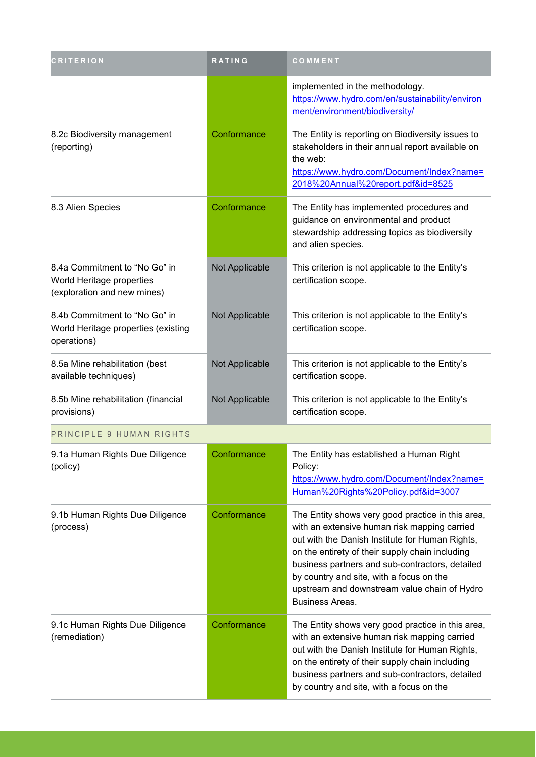| <b>CRITERION</b>                                                                          | RATING                | COMMENT                                                                                                                                                                                                                                                                                                                                                                   |
|-------------------------------------------------------------------------------------------|-----------------------|---------------------------------------------------------------------------------------------------------------------------------------------------------------------------------------------------------------------------------------------------------------------------------------------------------------------------------------------------------------------------|
|                                                                                           |                       | implemented in the methodology.<br>https://www.hydro.com/en/sustainability/environ<br>ment/environment/biodiversity/                                                                                                                                                                                                                                                      |
| 8.2c Biodiversity management<br>(reporting)                                               | Conformance           | The Entity is reporting on Biodiversity issues to<br>stakeholders in their annual report available on<br>the web:<br>https://www.hydro.com/Document/Index?name=<br>2018%20Annual%20report.pdf&id=8525                                                                                                                                                                     |
| 8.3 Alien Species                                                                         | Conformance           | The Entity has implemented procedures and<br>guidance on environmental and product<br>stewardship addressing topics as biodiversity<br>and alien species.                                                                                                                                                                                                                 |
| 8.4a Commitment to "No Go" in<br>World Heritage properties<br>(exploration and new mines) | Not Applicable        | This criterion is not applicable to the Entity's<br>certification scope.                                                                                                                                                                                                                                                                                                  |
| 8.4b Commitment to "No Go" in<br>World Heritage properties (existing<br>operations)       | Not Applicable        | This criterion is not applicable to the Entity's<br>certification scope.                                                                                                                                                                                                                                                                                                  |
| 8.5a Mine rehabilitation (best<br>available techniques)                                   | <b>Not Applicable</b> | This criterion is not applicable to the Entity's<br>certification scope.                                                                                                                                                                                                                                                                                                  |
| 8.5b Mine rehabilitation (financial<br>provisions)                                        | <b>Not Applicable</b> | This criterion is not applicable to the Entity's<br>certification scope.                                                                                                                                                                                                                                                                                                  |
| PRINCIPLE 9 HUMAN RIGHTS                                                                  |                       |                                                                                                                                                                                                                                                                                                                                                                           |
| 9.1a Human Rights Due Diligence<br>(policy)                                               | Conformance           | The Entity has established a Human Right<br>Policy:<br>https://www.hydro.com/Document/Index?name=<br>Human%20Rights%20Policy.pdf&id=3007                                                                                                                                                                                                                                  |
| 9.1b Human Rights Due Diligence<br>(process)                                              | Conformance           | The Entity shows very good practice in this area,<br>with an extensive human risk mapping carried<br>out with the Danish Institute for Human Rights,<br>on the entirety of their supply chain including<br>business partners and sub-contractors, detailed<br>by country and site, with a focus on the<br>upstream and downstream value chain of Hydro<br>Business Areas. |
| 9.1c Human Rights Due Diligence<br>(remediation)                                          | Conformance           | The Entity shows very good practice in this area,<br>with an extensive human risk mapping carried<br>out with the Danish Institute for Human Rights,<br>on the entirety of their supply chain including<br>business partners and sub-contractors, detailed<br>by country and site, with a focus on the                                                                    |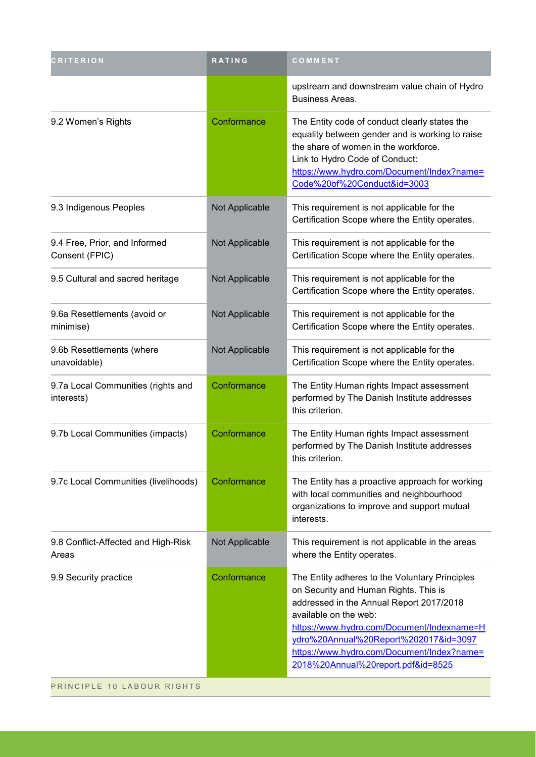| <b>CRITERION</b>                                 | RATING         | COMMENT                                                                                                                                                                                                                                                                                                                                 |
|--------------------------------------------------|----------------|-----------------------------------------------------------------------------------------------------------------------------------------------------------------------------------------------------------------------------------------------------------------------------------------------------------------------------------------|
|                                                  |                | upstream and downstream value chain of Hydro<br><b>Business Areas.</b>                                                                                                                                                                                                                                                                  |
| 9.2 Women's Rights                               | Conformance    | The Entity code of conduct clearly states the<br>equality between gender and is working to raise<br>the share of women in the workforce.<br>Link to Hydro Code of Conduct:<br>https://www.hydro.com/Document/Index?name=<br>Code%20of%20Conduct&id=3003                                                                                 |
| 9.3 Indigenous Peoples                           | Not Applicable | This requirement is not applicable for the<br>Certification Scope where the Entity operates.                                                                                                                                                                                                                                            |
| 9.4 Free, Prior, and Informed<br>Consent (FPIC)  | Not Applicable | This requirement is not applicable for the<br>Certification Scope where the Entity operates.                                                                                                                                                                                                                                            |
| 9.5 Cultural and sacred heritage                 | Not Applicable | This requirement is not applicable for the<br>Certification Scope where the Entity operates.                                                                                                                                                                                                                                            |
| 9.6a Resettlements (avoid or<br>minimise)        | Not Applicable | This requirement is not applicable for the<br>Certification Scope where the Entity operates.                                                                                                                                                                                                                                            |
| 9.6b Resettlements (where<br>unavoidable)        | Not Applicable | This requirement is not applicable for the<br>Certification Scope where the Entity operates.                                                                                                                                                                                                                                            |
| 9.7a Local Communities (rights and<br>interests) | Conformance    | The Entity Human rights Impact assessment<br>performed by The Danish Institute addresses<br>this criterion.                                                                                                                                                                                                                             |
| 9.7b Local Communities (impacts)                 | Conformance    | The Entity Human rights Impact assessment<br>performed by The Danish Institute addresses<br>this criterion.                                                                                                                                                                                                                             |
| 9.7c Local Communities (livelihoods)             | Conformance    | The Entity has a proactive approach for working<br>with local communities and neighbourhood<br>organizations to improve and support mutual<br>interests.                                                                                                                                                                                |
| 9.8 Conflict-Affected and High-Risk<br>Areas     | Not Applicable | This requirement is not applicable in the areas<br>where the Entity operates.                                                                                                                                                                                                                                                           |
| 9.9 Security practice                            | Conformance    | The Entity adheres to the Voluntary Principles<br>on Security and Human Rights. This is<br>addressed in the Annual Report 2017/2018<br>available on the web:<br>https://www.hydro.com/Document/Indexname=H<br>ydro%20Annual%20Report%202017&id=3097<br>https://www.hydro.com/Document/Index?name=<br>2018%20Annual%20report.pdf&id=8525 |
| PRINCIPLE 10 LABOUR RIGHTS                       |                |                                                                                                                                                                                                                                                                                                                                         |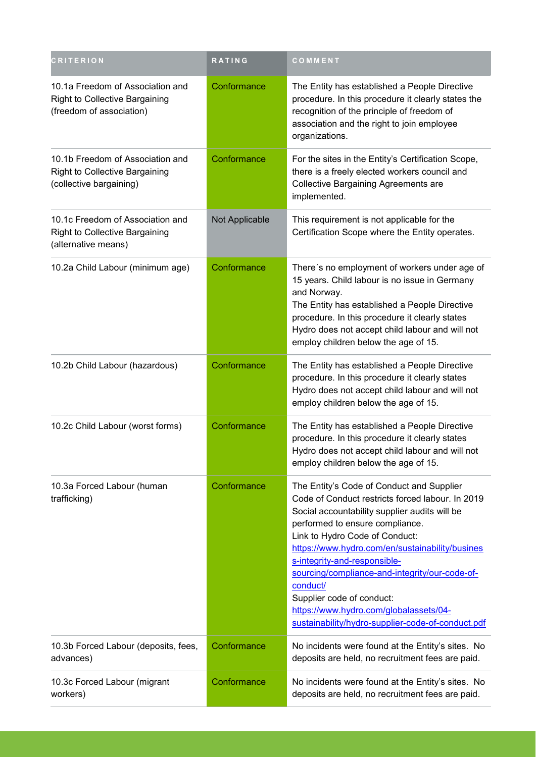| <b>CRITERION</b>                                                                                      | <b>RATING</b>  | COMMENT                                                                                                                                                                                                                                                                                                                                                                                                                                                                                          |  |
|-------------------------------------------------------------------------------------------------------|----------------|--------------------------------------------------------------------------------------------------------------------------------------------------------------------------------------------------------------------------------------------------------------------------------------------------------------------------------------------------------------------------------------------------------------------------------------------------------------------------------------------------|--|
| 10.1a Freedom of Association and<br><b>Right to Collective Bargaining</b><br>(freedom of association) | Conformance    | The Entity has established a People Directive<br>procedure. In this procedure it clearly states the<br>recognition of the principle of freedom of<br>association and the right to join employee<br>organizations.                                                                                                                                                                                                                                                                                |  |
| 10.1b Freedom of Association and<br><b>Right to Collective Bargaining</b><br>(collective bargaining)  | Conformance    | For the sites in the Entity's Certification Scope,<br>there is a freely elected workers council and<br><b>Collective Bargaining Agreements are</b><br>implemented.                                                                                                                                                                                                                                                                                                                               |  |
| 10.1c Freedom of Association and<br><b>Right to Collective Bargaining</b><br>(alternative means)      | Not Applicable | This requirement is not applicable for the<br>Certification Scope where the Entity operates.                                                                                                                                                                                                                                                                                                                                                                                                     |  |
| 10.2a Child Labour (minimum age)                                                                      | Conformance    | There's no employment of workers under age of<br>15 years. Child labour is no issue in Germany<br>and Norway.<br>The Entity has established a People Directive<br>procedure. In this procedure it clearly states<br>Hydro does not accept child labour and will not<br>employ children below the age of 15.                                                                                                                                                                                      |  |
| 10.2b Child Labour (hazardous)                                                                        | Conformance    | The Entity has established a People Directive<br>procedure. In this procedure it clearly states<br>Hydro does not accept child labour and will not<br>employ children below the age of 15.                                                                                                                                                                                                                                                                                                       |  |
| 10.2c Child Labour (worst forms)                                                                      | Conformance    | The Entity has established a People Directive<br>procedure. In this procedure it clearly states<br>Hydro does not accept child labour and will not<br>employ children below the age of 15.                                                                                                                                                                                                                                                                                                       |  |
| 10.3a Forced Labour (human<br>trafficking)                                                            | Conformance    | The Entity's Code of Conduct and Supplier<br>Code of Conduct restricts forced labour. In 2019<br>Social accountability supplier audits will be<br>performed to ensure compliance.<br>Link to Hydro Code of Conduct:<br>https://www.hydro.com/en/sustainability/busines<br>s-integrity-and-responsible-<br>sourcing/compliance-and-integrity/our-code-of-<br>conduct/<br>Supplier code of conduct:<br>https://www.hydro.com/globalassets/04-<br>sustainability/hydro-supplier-code-of-conduct.pdf |  |
| 10.3b Forced Labour (deposits, fees,<br>advances)                                                     | Conformance    | No incidents were found at the Entity's sites. No<br>deposits are held, no recruitment fees are paid.                                                                                                                                                                                                                                                                                                                                                                                            |  |
| 10.3c Forced Labour (migrant<br>workers)                                                              | Conformance    | No incidents were found at the Entity's sites. No<br>deposits are held, no recruitment fees are paid.                                                                                                                                                                                                                                                                                                                                                                                            |  |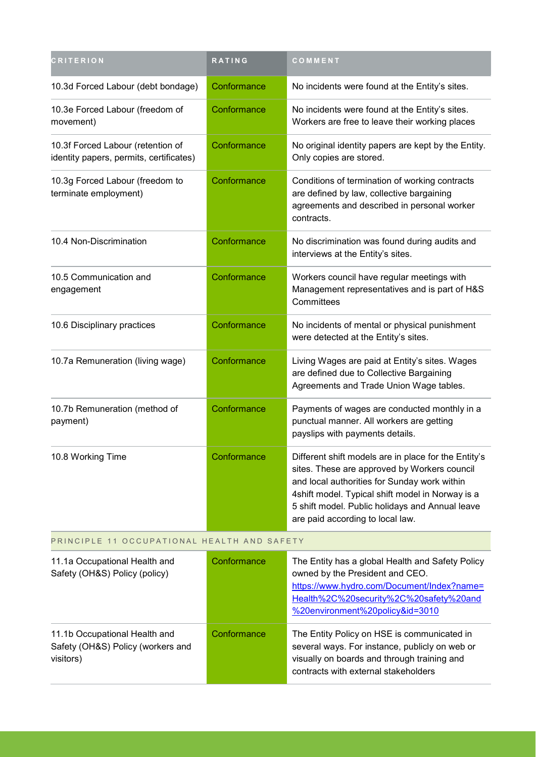| <b>CRITERION</b>                                                                | RATING      | COMMENT                                                                                                                                                                                                                                                                                         |
|---------------------------------------------------------------------------------|-------------|-------------------------------------------------------------------------------------------------------------------------------------------------------------------------------------------------------------------------------------------------------------------------------------------------|
| 10.3d Forced Labour (debt bondage)                                              | Conformance | No incidents were found at the Entity's sites.                                                                                                                                                                                                                                                  |
| 10.3e Forced Labour (freedom of<br>movement)                                    | Conformance | No incidents were found at the Entity's sites.<br>Workers are free to leave their working places                                                                                                                                                                                                |
| 10.3f Forced Labour (retention of<br>identity papers, permits, certificates)    | Conformance | No original identity papers are kept by the Entity.<br>Only copies are stored.                                                                                                                                                                                                                  |
| 10.3g Forced Labour (freedom to<br>terminate employment)                        | Conformance | Conditions of termination of working contracts<br>are defined by law, collective bargaining<br>agreements and described in personal worker<br>contracts.                                                                                                                                        |
| 10.4 Non-Discrimination                                                         | Conformance | No discrimination was found during audits and<br>interviews at the Entity's sites.                                                                                                                                                                                                              |
| 10.5 Communication and<br>engagement                                            | Conformance | Workers council have regular meetings with<br>Management representatives and is part of H&S<br>Committees                                                                                                                                                                                       |
| 10.6 Disciplinary practices                                                     | Conformance | No incidents of mental or physical punishment<br>were detected at the Entity's sites.                                                                                                                                                                                                           |
| 10.7a Remuneration (living wage)                                                | Conformance | Living Wages are paid at Entity's sites. Wages<br>are defined due to Collective Bargaining<br>Agreements and Trade Union Wage tables.                                                                                                                                                           |
| 10.7b Remuneration (method of<br>payment)                                       | Conformance | Payments of wages are conducted monthly in a<br>punctual manner. All workers are getting<br>payslips with payments details.                                                                                                                                                                     |
| 10.8 Working Time                                                               | Conformance | Different shift models are in place for the Entity's<br>sites. These are approved by Workers council<br>and local authorities for Sunday work within<br>4shift model. Typical shift model in Norway is a<br>5 shift model. Public holidays and Annual leave<br>are paid according to local law. |
| PRINCIPLE 11 OCCUPATIONAL HEALTH AND SAFETY                                     |             |                                                                                                                                                                                                                                                                                                 |
| 11.1a Occupational Health and<br>Safety (OH&S) Policy (policy)                  | Conformance | The Entity has a global Health and Safety Policy<br>owned by the President and CEO.<br>https://www.hydro.com/Document/Index?name=<br>Health%2C%20security%2C%20safety%20and<br>%20environment%20policy&id=3010                                                                                  |
| 11.1b Occupational Health and<br>Safety (OH&S) Policy (workers and<br>visitors) | Conformance | The Entity Policy on HSE is communicated in<br>several ways. For instance, publicly on web or<br>visually on boards and through training and<br>contracts with external stakeholders                                                                                                            |